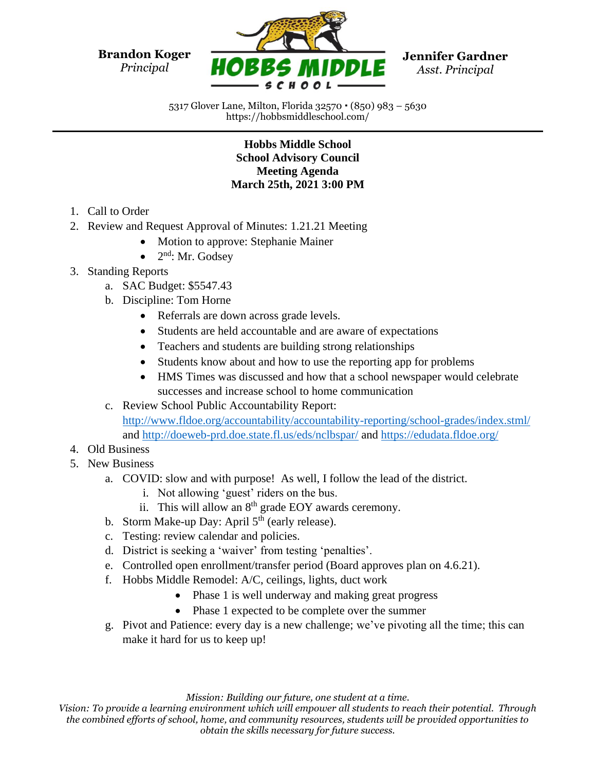**Brandon Koger** *Principal*



**Jennifer Gardner** *Asst. Principal*

5317 Glover Lane, Milton, Florida 32570 (850) 983 – 5630 https://hobbsmiddleschool.com/

## **Hobbs Middle School School Advisory Council Meeting Agenda March 25th, 2021 3:00 PM**

- 1. Call to Order
- 2. Review and Request Approval of Minutes: 1.21.21 Meeting
	- Motion to approve: Stephanie Mainer
	- $\bullet$  2<sup>nd</sup>: Mr. Godsey
- 3. Standing Reports
	- a. SAC Budget: \$5547.43
	- b. Discipline: Tom Horne
		- Referrals are down across grade levels.
		- Students are held accountable and are aware of expectations
		- Teachers and students are building strong relationships
		- Students know about and how to use the reporting app for problems
		- HMS Times was discussed and how that a school newspaper would celebrate successes and increase school to home communication
	- c. Review School Public Accountability Report: <http://www.fldoe.org/accountability/accountability-reporting/school-grades/index.stml/> and<http://doeweb-prd.doe.state.fl.us/eds/nclbspar/> and <https://edudata.fldoe.org/>
- 4. Old Business
- 5. New Business
	- a. COVID: slow and with purpose! As well, I follow the lead of the district.
		- i. Not allowing 'guest' riders on the bus.
		- ii. This will allow an  $8<sup>th</sup>$  grade EOY awards ceremony.
	- b. Storm Make-up Day: April  $5<sup>th</sup>$  (early release).
	- c. Testing: review calendar and policies.
	- d. District is seeking a 'waiver' from testing 'penalties'.
	- e. Controlled open enrollment/transfer period (Board approves plan on 4.6.21).
	- f. Hobbs Middle Remodel: A/C, ceilings, lights, duct work
		- Phase 1 is well underway and making great progress
		- Phase 1 expected to be complete over the summer
	- g. Pivot and Patience: every day is a new challenge; we've pivoting all the time; this can make it hard for us to keep up!

*Mission: Building our future, one student at a time.*

*Vision: To provide a learning environment which will empower all students to reach their potential. Through the combined efforts of school, home, and community resources, students will be provided opportunities to obtain the skills necessary for future success.*